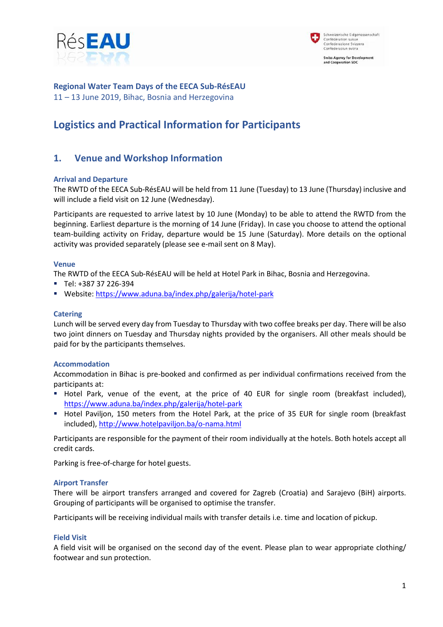



**Regional Water Team Days of the EECA Sub-RésEAU** 11 – 13 June 2019, Bihac, Bosnia and Herzegovina

# **Logistics and Practical Information for Participants**

# **1. Venue and Workshop Information**

### **Arrival and Departure**

The RWTD of the EECA Sub-RésEAU will be held from 11 June (Tuesday) to 13 June (Thursday) inclusive and will include a field visit on 12 June (Wednesday).

Participants are requested to arrive latest by 10 June (Monday) to be able to attend the RWTD from the beginning. Earliest departure is the morning of 14 June (Friday). In case you choose to attend the optional team-building activity on Friday, departure would be 15 June (Saturday). More details on the optional activity was provided separately (please see e-mail sent on 8 May).

### **Venue**

The RWTD of the EECA Sub-RésEAU will be held at Hotel Park in Bihac, Bosnia and Herzegovina.

- Tel: +387 37 226-394
- Website[: https://www.aduna.ba/index.php/galerija/hotel-park](https://www.aduna.ba/index.php/galerija/hotel-park)

### **Catering**

Lunch will be served every day from Tuesday to Thursday with two coffee breaks per day. There will be also two joint dinners on Tuesday and Thursday nights provided by the organisers. All other meals should be paid for by the participants themselves.

### **Accommodation**

Accommodation in Bihac is pre-booked and confirmed as per individual confirmations received from the participants at:

- Hotel Park, venue of the event, at the price of 40 EUR for single room (breakfast included), <https://www.aduna.ba/index.php/galerija/hotel-park>
- " Hotel Paviljon, 150 meters from the Hotel Park, at the price of 35 EUR for single room (breakfast included),<http://www.hotelpaviljon.ba/o-nama.html>

Participants are responsible for the payment of their room individually at the hotels. Both hotels accept all credit cards.

Parking is free-of-charge for hotel guests.

### **Airport Transfer**

There will be airport transfers arranged and covered for Zagreb (Croatia) and Sarajevo (BiH) airports. Grouping of participants will be organised to optimise the transfer.

Participants will be receiving individual mails with transfer details i.e. time and location of pickup.

### **Field Visit**

A field visit will be organised on the second day of the event. Please plan to wear appropriate clothing/ footwear and sun protection.